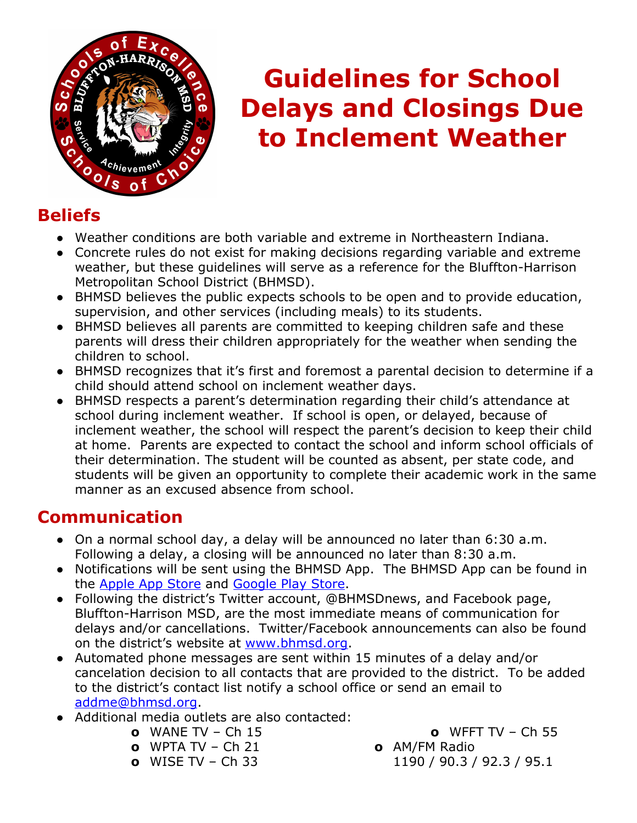

# **Guidelines for School Delays and Closings Due to Inclement Weather**

# **Beliefs**

- Weather conditions are both variable and extreme in Northeastern Indiana.
- Concrete rules do not exist for making decisions regarding variable and extreme weather, but these guidelines will serve as a reference for the Bluffton-Harrison Metropolitan School District (BHMSD).
- BHMSD believes the public expects schools to be open and to provide education, supervision, and other services (including meals) to its students.
- BHMSD believes all parents are committed to keeping children safe and these parents will dress their children appropriately for the weather when sending the children to school.
- BHMSD recognizes that it's first and foremost a parental decision to determine if a child should attend school on inclement weather days.
- BHMSD respects a parent's determination regarding their child's attendance at school during inclement weather. If school is open, or delayed, because of inclement weather, the school will respect the parent's decision to keep their child at home. Parents are expected to contact the school and inform school officials of their determination. The student will be counted as absent, per state code, and students will be given an opportunity to complete their academic work in the same manner as an excused absence from school.

# **Communication**

- **●** On a normal school day, a delay will be announced no later than 6:30 a.m. Following a delay, a closing will be announced no later than 8:30 a.m.
- **●** Notifications will be sent using the BHMSD App. The BHMSD App can be found in the [Apple App Store](https://itunes.apple.com/us/app/bluffton-harrison-msd/id1063822511?mt=8) and [Google Play Store.](https://play.google.com/store/apps/details?id=com.relianceco.cma.blufftonharrison&hl=en)
- **●** Following the district's Twitter account, @BHMSDnews, and Facebook page, Bluffton-Harrison MSD, are the most immediate means of communication for delays and/or cancellations.Twitter/Facebook announcements can also be found on the district's website at [www.bhmsd.org](http://www.bhmsd.org/).
- **●** Automated phone messages are sent within 15 minutes of a delay and/or cancelation decision to all contacts that are provided to the district. To be added to the district's contact list notify a school office or send an email to [addme@bhmsd.org.](mailto:addme@bhmsd.org)
- **●** Additional media outlets are also contacted:
	- **o** WANE TV Ch 15
	- **o** WPTA TV Ch 21
	- **o** WISE TV Ch 33

**o** WFFT TV – Ch 55

- 
- 1190 / 90.3 / 92.3 / 95.1
- **o** AM/FM Radio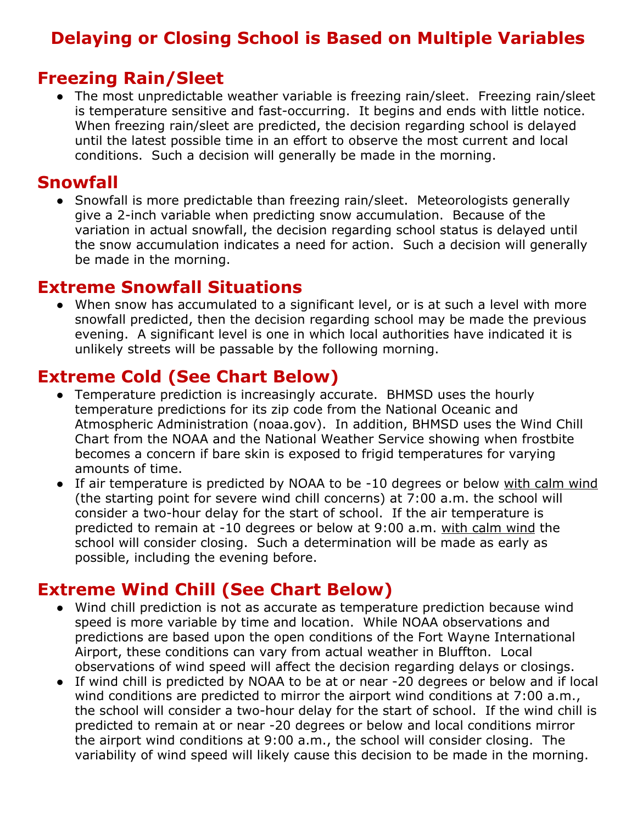# **Delaying or Closing School is Based on Multiple Variables**

## **Freezing Rain/Sleet**

• The most unpredictable weather variable is freezing rain/sleet. Freezing rain/sleet is temperature sensitive and fast-occurring. It begins and ends with little notice. When freezing rain/sleet are predicted, the decision regarding school is delayed until the latest possible time in an effort to observe the most current and local conditions. Such a decision will generally be made in the morning.

#### **Snowfall**

● Snowfall is more predictable than freezing rain/sleet. Meteorologists generally give a 2-inch variable when predicting snow accumulation. Because of the variation in actual snowfall, the decision regarding school status is delayed until the snow accumulation indicates a need for action. Such a decision will generally be made in the morning.

### **Extreme Snowfall Situations**

● When snow has accumulated to a significant level, or is at such a level with more snowfall predicted, then the decision regarding school may be made the previous evening. A significant level is one in which local authorities have indicated it is unlikely streets will be passable by the following morning.

# **Extreme Cold (See Chart Below)**

- Temperature prediction is increasingly accurate. BHMSD uses the hourly temperature predictions for its zip code from the National Oceanic and Atmospheric Administration (noaa.gov). In addition, BHMSD uses the Wind Chill Chart from the NOAA and the National Weather Service showing when frostbite becomes a concern if bare skin is exposed to frigid temperatures for varying amounts of time.
- If air temperature is predicted by NOAA to be -10 degrees or below with calm wind (the starting point for severe wind chill concerns) at 7:00 a.m. the school will consider a two-hour delay for the start of school. If the air temperature is predicted to remain at -10 degrees or below at 9:00 a.m. with calm wind the school will consider closing. Such a determination will be made as early as possible, including the evening before.

# **Extreme Wind Chill (See Chart Below)**

- Wind chill prediction is not as accurate as temperature prediction because wind speed is more variable by time and location. While NOAA observations and predictions are based upon the open conditions of the Fort Wayne International Airport, these conditions can vary from actual weather in Bluffton. Local observations of wind speed will affect the decision regarding delays or closings.
- If wind chill is predicted by NOAA to be at or near -20 degrees or below and if local wind conditions are predicted to mirror the airport wind conditions at 7:00 a.m., the school will consider a two-hour delay for the start of school. If the wind chill is predicted to remain at or near -20 degrees or below and local conditions mirror the airport wind conditions at 9:00 a.m., the school will consider closing. The variability of wind speed will likely cause this decision to be made in the morning.